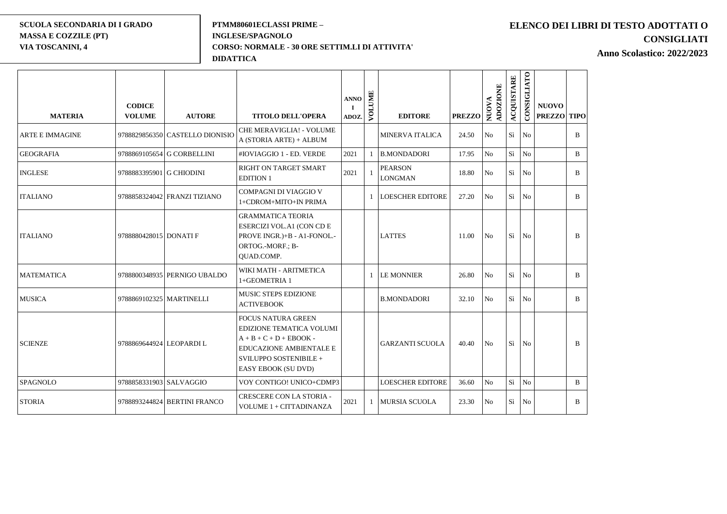#### **SCUOLA SECONDARIA DI I GRADO MASSA E COZZILE (PT) VIA TOSCANINI, 4**

#### **PTMM80601ECLASSI PRIME – INGLESE/SPAGNOLO CORSO: NORMALE - 30 ORE SETTIM.LI DI ATTIVITA' DIDATTICA**

## **ELENCO DEI LIBRI DI TESTO ADOTTATI O CONSIGLIATI**

**Anno Scolastico: 2022/2023**

| <b>MATERIA</b>         | <b>CODICE</b><br><b>VOLUME</b> | <b>AUTORE</b>                   | <b>TITOLO DELL'OPERA</b>                                                                                                                                              | <b>ANNO</b><br>Т.<br>ADOZ. | VOLUME | <b>EDITORE</b>                   | <b>PREZZO</b> | ADOZIONE<br><b>NUOVA</b> | <b>ACQUISTARE</b> | CONSIGLIATO    | <b>NUOVO</b><br><b>PREZZO TIPO</b> |              |
|------------------------|--------------------------------|---------------------------------|-----------------------------------------------------------------------------------------------------------------------------------------------------------------------|----------------------------|--------|----------------------------------|---------------|--------------------------|-------------------|----------------|------------------------------------|--------------|
| <b>ARTE E IMMAGINE</b> |                                | 9788829856350 CASTELLO DIONISIO | CHE MERAVIGLIA! - VOLUME<br>A (STORIA ARTE) + ALBUM                                                                                                                   |                            |        | <b>MINERVA ITALICA</b>           | 24.50         | No                       | Sì                | No             |                                    | $\mathbf{B}$ |
| <b>GEOGRAFIA</b>       |                                | 9788869105654 G CORBELLINI      | #IOVIAGGIO 1 - ED. VERDE                                                                                                                                              | 2021                       |        | <b>B.MONDADORI</b>               | 17.95         | No                       | Sì                | $\rm No$       |                                    | $\bf{B}$     |
| <b>INGLESE</b>         | 9788883395901 G CHIODINI       |                                 | RIGHT ON TARGET SMART<br><b>EDITION 1</b>                                                                                                                             | 2021                       |        | <b>PEARSON</b><br><b>LONGMAN</b> | 18.80         | No                       | Sì                | No             |                                    | $\mathbf{B}$ |
| <b>ITALIANO</b>        |                                | 9788858324042 FRANZI TIZIANO    | COMPAGNI DI VIAGGIO V<br>1+CDROM+MITO+IN PRIMA                                                                                                                        |                            |        | <b>LOESCHER EDITORE</b>          | 27.20         | No                       | Sì                | No             |                                    | $\mathbf{B}$ |
| <b>ITALIANO</b>        | 9788880428015 DONATI F         |                                 | <b>GRAMMATICA TEORIA</b><br>ESERCIZI VOL.A1 (CON CD E<br>PROVE INGR.)+B - A1-FONOL.-<br>ORTOG.-MORF.; B-<br><b>OUAD.COMP.</b>                                         |                            |        | <b>LATTES</b>                    | 11.00         | No                       | Sì                | No             |                                    | $\mathbf{B}$ |
| <b>MATEMATICA</b>      |                                | 9788800348935 PERNIGO UBALDO    | WIKI MATH - ARITMETICA<br>1+GEOMETRIA 1                                                                                                                               |                            |        | <b>LE MONNIER</b>                | 26.80         | No                       | Sì                | No             |                                    | <sub>B</sub> |
| <b>MUSICA</b>          | 9788869102325 MARTINELLI       |                                 | <b>MUSIC STEPS EDIZIONE</b><br><b>ACTIVEBOOK</b>                                                                                                                      |                            |        | <b>B.MONDADORI</b>               | 32.10         | N <sub>o</sub>           | Sì                | N <sub>o</sub> |                                    | <sub>B</sub> |
| <b>SCIENZE</b>         | 9788869644924 LEOPARDI L       |                                 | <b>FOCUS NATURA GREEN</b><br>EDIZIONE TEMATICA VOLUMI<br>$A + B + C + D + EBOOK -$<br><b>EDUCAZIONE AMBIENTALE E</b><br>SVILUPPO SOSTENIBILE +<br>EASY EBOOK (SU DVD) |                            |        | <b>GARZANTI SCUOLA</b>           | 40.40         | No                       | Sì                | No             |                                    | B            |
| <b>SPAGNOLO</b>        | 9788858331903 SALVAGGIO        |                                 | VOY CONTIGO! UNICO+CDMP3                                                                                                                                              |                            |        | <b>LOESCHER EDITORE</b>          | 36.60         | No                       | Sì                | N <sub>o</sub> |                                    | $\mathbf{B}$ |
| <b>STORIA</b>          |                                | 9788893244824 BERTINI FRANCO    | CRESCERE CON LA STORIA -<br>VOLUME 1 + CITTADINANZA                                                                                                                   | 2021                       |        | <b>MURSIA SCUOLA</b>             | 23.30         | No                       | Sì                | N <sub>o</sub> |                                    | $\mathbf{B}$ |